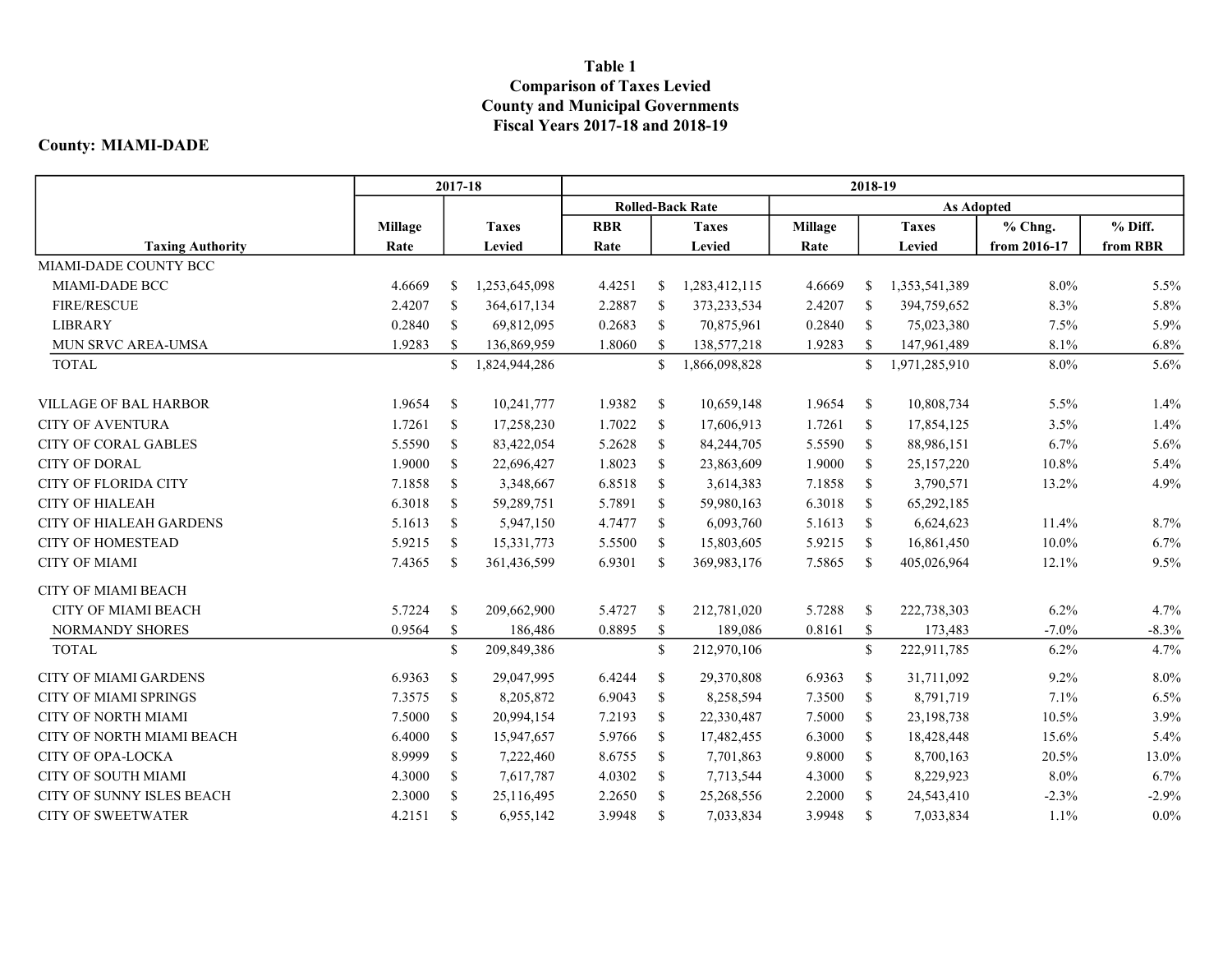## Table 1 Comparison of Taxes Levied County and Municipal Governments Fiscal Years 2017-18 and 2018-19

## County: MIAMI-DADE

|                                | 2017-18        |               |               | 2018-19                 |               |               |                |               |               |              |          |  |  |
|--------------------------------|----------------|---------------|---------------|-------------------------|---------------|---------------|----------------|---------------|---------------|--------------|----------|--|--|
|                                |                |               |               | <b>Rolled-Back Rate</b> |               |               |                |               |               |              |          |  |  |
|                                | <b>Millage</b> |               | <b>Taxes</b>  | <b>RBR</b>              |               | <b>Taxes</b>  | <b>Millage</b> |               | <b>Taxes</b>  | % Chng.      | % Diff.  |  |  |
| <b>Taxing Authority</b>        | Rate           |               | Levied        | Rate                    |               | Levied        | Rate           |               | Levied        | from 2016-17 | from RBR |  |  |
| MIAMI-DADE COUNTY BCC          |                |               |               |                         |               |               |                |               |               |              |          |  |  |
| MIAMI-DADE BCC                 | 4.6669         | <sup>\$</sup> | 1,253,645,098 | 4.4251                  | <sup>\$</sup> | 1,283,412,115 | 4.6669         | <sup>\$</sup> | 1,353,541,389 | $8.0\%$      | 5.5%     |  |  |
| <b>FIRE/RESCUE</b>             | 2.4207         | \$            | 364,617,134   | 2.2887                  | <sup>S</sup>  | 373,233,534   | 2.4207         | <sup>\$</sup> | 394,759,652   | 8.3%         | 5.8%     |  |  |
| <b>LIBRARY</b>                 | 0.2840         | \$            | 69,812,095    | 0.2683                  | <sup>\$</sup> | 70,875,961    | 0.2840         | <sup>\$</sup> | 75,023,380    | 7.5%         | 5.9%     |  |  |
| MUN SRVC AREA-UMSA             | 1.9283         | <sup>\$</sup> | 136,869,959   | 1.8060                  | <sup>\$</sup> | 138,577,218   | 1.9283         | <sup>\$</sup> | 147,961,489   | 8.1%         | 6.8%     |  |  |
| <b>TOTAL</b>                   |                | $\mathbb{S}$  | 1,824,944,286 |                         | $\mathbb{S}$  | 1,866,098,828 |                | $\mathbb{S}$  | 1,971,285,910 | 8.0%         | 5.6%     |  |  |
| <b>VILLAGE OF BAL HARBOR</b>   | 1.9654         | <sup>\$</sup> | 10,241,777    | 1.9382                  | <sup>S</sup>  | 10,659,148    | 1.9654         | <sup>\$</sup> | 10,808,734    | 5.5%         | 1.4%     |  |  |
| <b>CITY OF AVENTURA</b>        | 1.7261         | <sup>\$</sup> | 17,258,230    | 1.7022                  | <sup>\$</sup> | 17,606,913    | 1.7261         | \$            | 17,854,125    | 3.5%         | 1.4%     |  |  |
| <b>CITY OF CORAL GABLES</b>    | 5.5590         | <sup>\$</sup> | 83,422,054    | 5.2628                  | <sup>\$</sup> | 84,244,705    | 5.5590         | \$            | 88,986,151    | 6.7%         | 5.6%     |  |  |
| <b>CITY OF DORAL</b>           | 1.9000         | <sup>\$</sup> | 22,696,427    | 1.8023                  | <sup>\$</sup> | 23,863,609    | 1.9000         | <sup>\$</sup> | 25,157,220    | 10.8%        | 5.4%     |  |  |
| <b>CITY OF FLORIDA CITY</b>    | 7.1858         | <sup>\$</sup> | 3,348,667     | 6.8518                  | <sup>\$</sup> | 3,614,383     | 7.1858         | <sup>\$</sup> | 3,790,571     | 13.2%        | 4.9%     |  |  |
| <b>CITY OF HIALEAH</b>         | 6.3018         | <sup>\$</sup> | 59,289,751    | 5.7891                  | <sup>\$</sup> | 59,980,163    | 6.3018         | -S            | 65,292,185    |              |          |  |  |
| <b>CITY OF HIALEAH GARDENS</b> | 5.1613         | \$            | 5,947,150     | 4.7477                  | -\$           | 6,093,760     | 5.1613         | <sup>\$</sup> | 6,624,623     | 11.4%        | 8.7%     |  |  |
| <b>CITY OF HOMESTEAD</b>       | 5.9215         | \$            | 15,331,773    | 5.5500                  | <sup>\$</sup> | 15,803,605    | 5.9215         | <sup>\$</sup> | 16,861,450    | 10.0%        | 6.7%     |  |  |
| <b>CITY OF MIAMI</b>           | 7.4365         | <sup>\$</sup> | 361,436,599   | 6.9301                  | <sup>\$</sup> | 369,983,176   | 7.5865         | <sup>\$</sup> | 405,026,964   | 12.1%        | 9.5%     |  |  |
| <b>CITY OF MIAMI BEACH</b>     |                |               |               |                         |               |               |                |               |               |              |          |  |  |
| <b>CITY OF MIAMI BEACH</b>     | 5.7224         | <sup>\$</sup> | 209,662,900   | 5.4727                  | - \$          | 212,781,020   | 5.7288         | \$            | 222,738,303   | 6.2%         | 4.7%     |  |  |
| <b>NORMANDY SHORES</b>         | 0.9564         | <sup>\$</sup> | 186,486       | 0.8895                  | <sup>\$</sup> | 189,086       | 0.8161         | \$            | 173,483       | $-7.0\%$     | $-8.3%$  |  |  |
| <b>TOTAL</b>                   |                | $\mathbb{S}$  | 209,849,386   |                         | <sup>\$</sup> | 212,970,106   |                | $\mathbb{S}$  | 222,911,785   | 6.2%         | 4.7%     |  |  |
| <b>CITY OF MIAMI GARDENS</b>   | 6.9363         | \$            | 29,047,995    | 6.4244                  | <sup>\$</sup> | 29,370,808    | 6.9363         | \$            | 31,711,092    | 9.2%         | 8.0%     |  |  |
| <b>CITY OF MIAMI SPRINGS</b>   | 7.3575         | <sup>\$</sup> | 8,205,872     | 6.9043                  | <sup>\$</sup> | 8,258,594     | 7.3500         | \$            | 8,791,719     | 7.1%         | 6.5%     |  |  |
| <b>CITY OF NORTH MIAMI</b>     | 7.5000         | \$            | 20,994,154    | 7.2193                  | <sup>\$</sup> | 22,330,487    | 7.5000         | <sup>\$</sup> | 23,198,738    | 10.5%        | 3.9%     |  |  |
| CITY OF NORTH MIAMI BEACH      | 6.4000         | <sup>\$</sup> | 15,947,657    | 5.9766                  | <sup>\$</sup> | 17,482,455    | 6.3000         | \$            | 18,428,448    | 15.6%        | 5.4%     |  |  |
| <b>CITY OF OPA-LOCKA</b>       | 8.9999         | <sup>\$</sup> | 7,222,460     | 8.6755                  | <sup>S</sup>  | 7,701,863     | 9.8000         | <sup>\$</sup> | 8,700,163     | 20.5%        | 13.0%    |  |  |
| <b>CITY OF SOUTH MIAMI</b>     | 4.3000         | <sup>\$</sup> | 7,617,787     | 4.0302                  | $\mathbb{S}$  | 7,713,544     | 4.3000         | \$            | 8,229,923     | 8.0%         | 6.7%     |  |  |
| CITY OF SUNNY ISLES BEACH      | 2.3000         | \$            | 25,116,495    | 2.2650                  | <sup>\$</sup> | 25,268,556    | 2.2000         | <sup>\$</sup> | 24,543,410    | $-2.3%$      | $-2.9%$  |  |  |
| <b>CITY OF SWEETWATER</b>      | 4.2151         | <sup>\$</sup> | 6,955,142     | 3.9948                  | <sup>\$</sup> | 7,033,834     | 3.9948         | \$            | 7,033,834     | 1.1%         | $0.0\%$  |  |  |